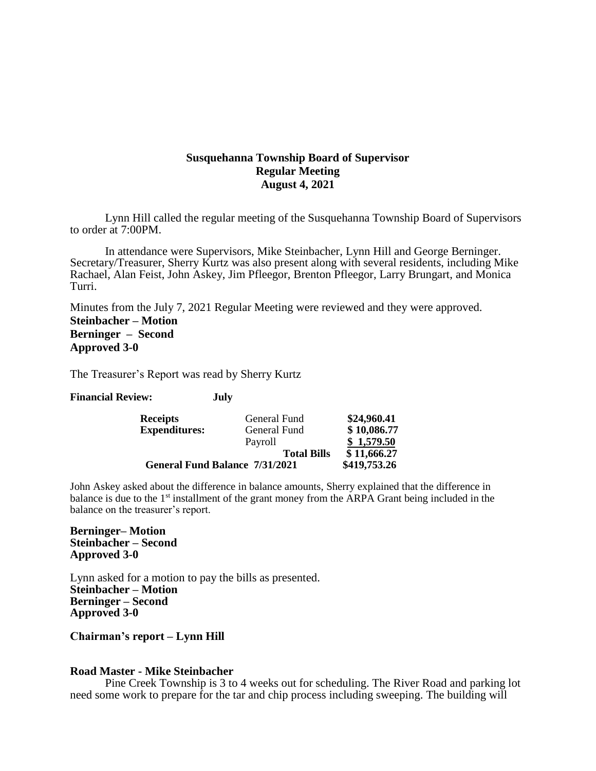# **Susquehanna Township Board of Supervisor Regular Meeting August 4, 2021**

Lynn Hill called the regular meeting of the Susquehanna Township Board of Supervisors to order at 7:00PM.

In attendance were Supervisors, Mike Steinbacher, Lynn Hill and George Berninger. Secretary/Treasurer, Sherry Kurtz was also present along with several residents, including Mike Rachael, Alan Feist, John Askey, Jim Pfleegor, Brenton Pfleegor, Larry Brungart, and Monica Turri.

Minutes from the July 7, 2021 Regular Meeting were reviewed and they were approved. **Steinbacher – Motion Berninger – Second Approved 3-0**

The Treasurer's Report was read by Sherry Kurtz

**Financial Review: July**

| <b>Receipts</b>                       | General Fund       | \$24,960.41  |
|---------------------------------------|--------------------|--------------|
| <b>Expenditures:</b>                  | General Fund       | \$10,086.77  |
|                                       | Payroll            | \$1,579.50   |
|                                       | <b>Total Bills</b> | \$11,666.27  |
| <b>General Fund Balance 7/31/2021</b> |                    | \$419,753.26 |

John Askey asked about the difference in balance amounts, Sherry explained that the difference in balance is due to the 1<sup>st</sup> installment of the grant money from the ARPA Grant being included in the balance on the treasurer's report.

**Berninger– Motion Steinbacher – Second Approved 3-0**

Lynn asked for a motion to pay the bills as presented. **Steinbacher – Motion Berninger – Second Approved 3-0**

**Chairman's report – Lynn Hill**

# **Road Master - Mike Steinbacher**

Pine Creek Township is 3 to 4 weeks out for scheduling. The River Road and parking lot need some work to prepare for the tar and chip process including sweeping. The building will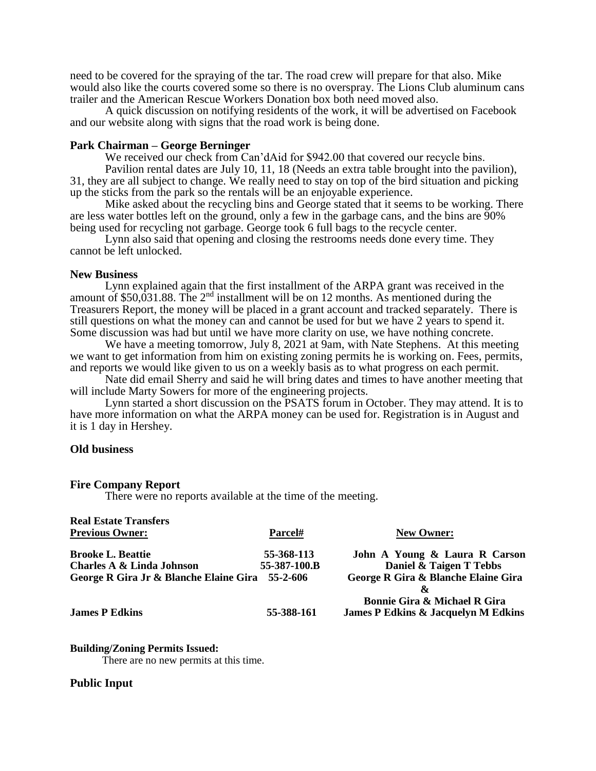need to be covered for the spraying of the tar. The road crew will prepare for that also. Mike would also like the courts covered some so there is no overspray. The Lions Club aluminum cans trailer and the American Rescue Workers Donation box both need moved also.

A quick discussion on notifying residents of the work, it will be advertised on Facebook and our website along with signs that the road work is being done.

## **Park Chairman – George Berninger**

We received our check from Can'dAid for \$942.00 that covered our recycle bins. Pavilion rental dates are July 10, 11, 18 (Needs an extra table brought into the pavilion). 31, they are all subject to change. We really need to stay on top of the bird situation and picking up the sticks from the park so the rentals will be an enjoyable experience.

Mike asked about the recycling bins and George stated that it seems to be working. There are less water bottles left on the ground, only a few in the garbage cans, and the bins are 90% being used for recycling not garbage. George took 6 full bags to the recycle center.

Lynn also said that opening and closing the restrooms needs done every time. They cannot be left unlocked.

# **New Business**

Lynn explained again that the first installment of the ARPA grant was received in the amount of \$50,031.88. The 2nd installment will be on 12 months. As mentioned during the Treasurers Report, the money will be placed in a grant account and tracked separately. There is still questions on what the money can and cannot be used for but we have 2 years to spend it. Some discussion was had but until we have more clarity on use, we have nothing concrete.

We have a meeting tomorrow, July 8, 2021 at 9am, with Nate Stephens. At this meeting we want to get information from him on existing zoning permits he is working on. Fees, permits, and reports we would like given to us on a weekly basis as to what progress on each permit.

Nate did email Sherry and said he will bring dates and times to have another meeting that will include Marty Sowers for more of the engineering projects.

Lynn started a short discussion on the PSATS forum in October. They may attend. It is to have more information on what the ARPA money can be used for. Registration is in August and it is 1 day in Hershey.

# **Old business**

#### **Fire Company Report**

There were no reports available at the time of the meeting.

| <b>Real Estate Transfers</b>                    |              |                                                |
|-------------------------------------------------|--------------|------------------------------------------------|
| <b>Previous Owner:</b>                          | Parcel#      | <b>New Owner:</b>                              |
| <b>Brooke L. Beattie</b>                        | 55-368-113   | John A Young & Laura R Carson                  |
| <b>Charles A &amp; Linda Johnson</b>            | 55-387-100.B | Daniel & Taigen T Tebbs                        |
| George R Gira Jr & Blanche Elaine Gira 55-2-606 |              | George R Gira & Blanche Elaine Gira            |
|                                                 |              | X.                                             |
|                                                 |              | <b>Bonnie Gira &amp; Michael R Gira</b>        |
| <b>James P Edkins</b>                           | 55-388-161   | <b>James P Edkins &amp; Jacquelyn M Edkins</b> |

## **Building/Zoning Permits Issued:**

There are no new permits at this time.

# **Public Input**